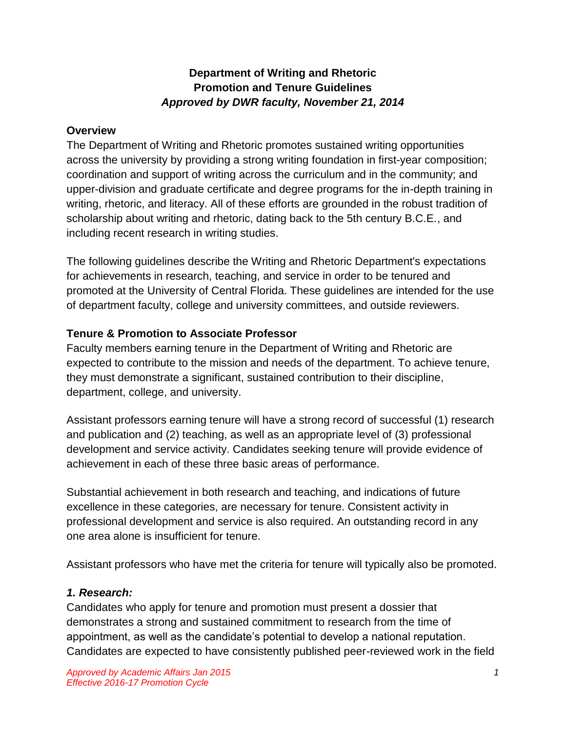# **Department of Writing and Rhetoric Promotion and Tenure Guidelines** *Approved by DWR faculty, November 21, 2014*

#### **Overview**

The Department of Writing and Rhetoric promotes sustained writing opportunities across the university by providing a strong writing foundation in first-year composition; coordination and support of writing across the curriculum and in the community; and upper-division and graduate certificate and degree programs for the in-depth training in writing, rhetoric, and literacy. All of these efforts are grounded in the robust tradition of scholarship about writing and rhetoric, dating back to the 5th century B.C.E., and including recent research in writing studies.

The following guidelines describe the Writing and Rhetoric Department's expectations for achievements in research, teaching, and service in order to be tenured and promoted at the University of Central Florida. These guidelines are intended for the use of department faculty, college and university committees, and outside reviewers.

## **Tenure & Promotion to Associate Professor**

Faculty members earning tenure in the Department of Writing and Rhetoric are expected to contribute to the mission and needs of the department. To achieve tenure, they must demonstrate a significant, sustained contribution to their discipline, department, college, and university.

Assistant professors earning tenure will have a strong record of successful (1) research and publication and (2) teaching, as well as an appropriate level of (3) professional development and service activity. Candidates seeking tenure will provide evidence of achievement in each of these three basic areas of performance.

Substantial achievement in both research and teaching, and indications of future excellence in these categories, are necessary for tenure. Consistent activity in professional development and service is also required. An outstanding record in any one area alone is insufficient for tenure.

Assistant professors who have met the criteria for tenure will typically also be promoted.

## *1. Research:*

Candidates who apply for tenure and promotion must present a dossier that demonstrates a strong and sustained commitment to research from the time of appointment, as well as the candidate's potential to develop a national reputation. Candidates are expected to have consistently published peer-reviewed work in the field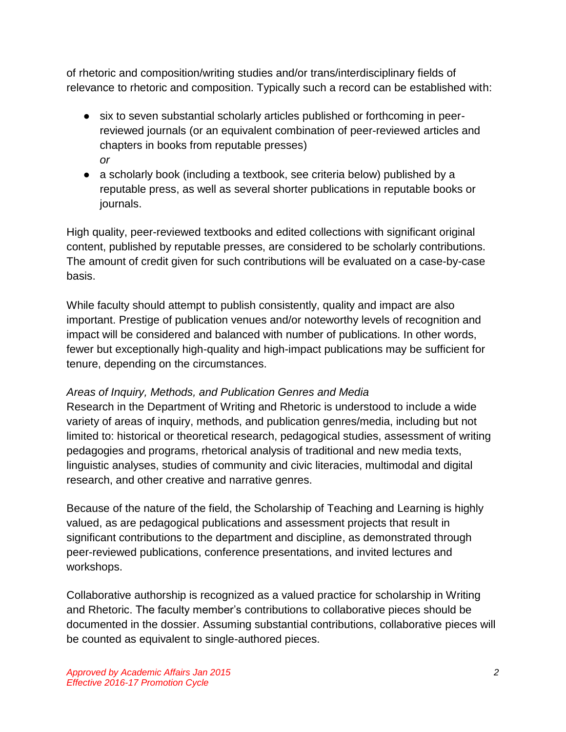of rhetoric and composition/writing studies and/or trans/interdisciplinary fields of relevance to rhetoric and composition. Typically such a record can be established with:

- six to seven substantial scholarly articles published or forthcoming in peerreviewed journals (or an equivalent combination of peer-reviewed articles and chapters in books from reputable presses) *or*
- a scholarly book (including a textbook, see criteria below) published by a reputable press, as well as several shorter publications in reputable books or journals.

High quality, peer-reviewed textbooks and edited collections with significant original content, published by reputable presses, are considered to be scholarly contributions. The amount of credit given for such contributions will be evaluated on a case-by-case basis.

While faculty should attempt to publish consistently, quality and impact are also important. Prestige of publication venues and/or noteworthy levels of recognition and impact will be considered and balanced with number of publications. In other words, fewer but exceptionally high-quality and high-impact publications may be sufficient for tenure, depending on the circumstances.

# *Areas of Inquiry, Methods, and Publication Genres and Media*

Research in the Department of Writing and Rhetoric is understood to include a wide variety of areas of inquiry, methods, and publication genres/media, including but not limited to: historical or theoretical research, pedagogical studies, assessment of writing pedagogies and programs, rhetorical analysis of traditional and new media texts, linguistic analyses, studies of community and civic literacies, multimodal and digital research, and other creative and narrative genres.

Because of the nature of the field, the Scholarship of Teaching and Learning is highly valued, as are pedagogical publications and assessment projects that result in significant contributions to the department and discipline, as demonstrated through peer-reviewed publications, conference presentations, and invited lectures and workshops.

Collaborative authorship is recognized as a valued practice for scholarship in Writing and Rhetoric. The faculty member's contributions to collaborative pieces should be documented in the dossier. Assuming substantial contributions, collaborative pieces will be counted as equivalent to single-authored pieces.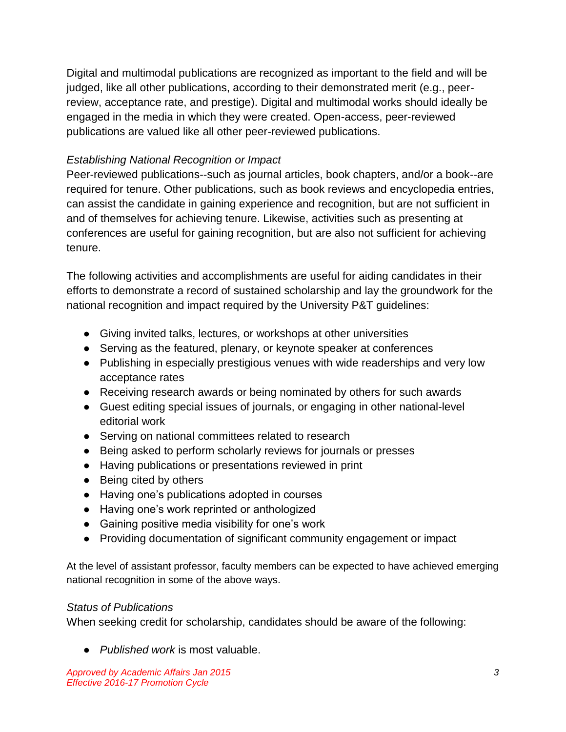Digital and multimodal publications are recognized as important to the field and will be judged, like all other publications, according to their demonstrated merit (e.g., peerreview, acceptance rate, and prestige). Digital and multimodal works should ideally be engaged in the media in which they were created. Open-access, peer-reviewed publications are valued like all other peer-reviewed publications.

## *Establishing National Recognition or Impact*

Peer-reviewed publications--such as journal articles, book chapters, and/or a book--are required for tenure. Other publications, such as book reviews and encyclopedia entries, can assist the candidate in gaining experience and recognition, but are not sufficient in and of themselves for achieving tenure. Likewise, activities such as presenting at conferences are useful for gaining recognition, but are also not sufficient for achieving tenure.

The following activities and accomplishments are useful for aiding candidates in their efforts to demonstrate a record of sustained scholarship and lay the groundwork for the national recognition and impact required by the University P&T guidelines:

- Giving invited talks, lectures, or workshops at other universities
- Serving as the featured, plenary, or keynote speaker at conferences
- Publishing in especially prestigious venues with wide readerships and very low acceptance rates
- Receiving research awards or being nominated by others for such awards
- Guest editing special issues of journals, or engaging in other national-level editorial work
- Serving on national committees related to research
- Being asked to perform scholarly reviews for journals or presses
- Having publications or presentations reviewed in print
- Being cited by others
- Having one's publications adopted in courses
- Having one's work reprinted or anthologized
- Gaining positive media visibility for one's work
- Providing documentation of significant community engagement or impact

At the level of assistant professor, faculty members can be expected to have achieved emerging national recognition in some of the above ways.

## *Status of Publications*

When seeking credit for scholarship, candidates should be aware of the following:

● *Published work* is most valuable.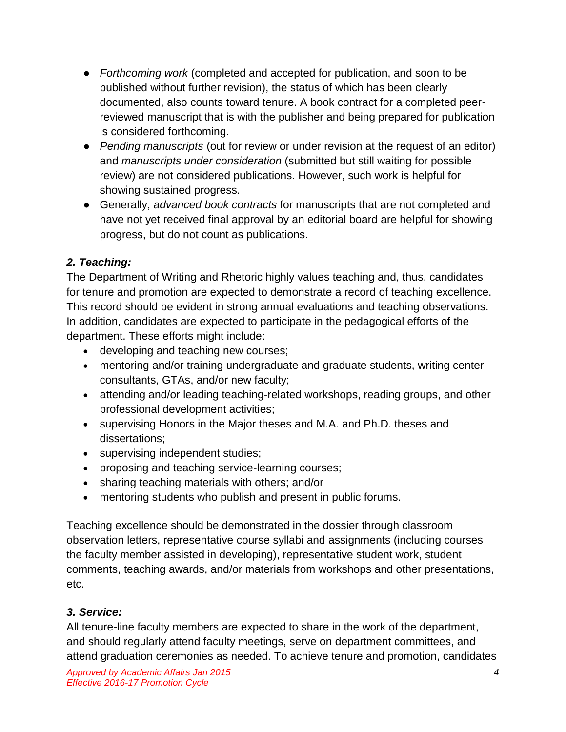- *Forthcoming work* (completed and accepted for publication, and soon to be published without further revision), the status of which has been clearly documented, also counts toward tenure. A book contract for a completed peerreviewed manuscript that is with the publisher and being prepared for publication is considered forthcoming.
- *Pending manuscripts* (out for review or under revision at the request of an editor) and *manuscripts under consideration* (submitted but still waiting for possible review) are not considered publications. However, such work is helpful for showing sustained progress.
- Generally, *advanced book contracts* for manuscripts that are not completed and have not yet received final approval by an editorial board are helpful for showing progress, but do not count as publications.

# *2. Teaching:*

The Department of Writing and Rhetoric highly values teaching and, thus, candidates for tenure and promotion are expected to demonstrate a record of teaching excellence. This record should be evident in strong annual evaluations and teaching observations. In addition, candidates are expected to participate in the pedagogical efforts of the department. These efforts might include:

- developing and teaching new courses;
- mentoring and/or training undergraduate and graduate students, writing center consultants, GTAs, and/or new faculty;
- attending and/or leading teaching-related workshops, reading groups, and other professional development activities;
- supervising Honors in the Major theses and M.A. and Ph.D. theses and dissertations;
- supervising independent studies;
- proposing and teaching service-learning courses;
- sharing teaching materials with others; and/or
- mentoring students who publish and present in public forums.

Teaching excellence should be demonstrated in the dossier through classroom observation letters, representative course syllabi and assignments (including courses the faculty member assisted in developing), representative student work, student comments, teaching awards, and/or materials from workshops and other presentations, etc.

# *3. Service:*

All tenure-line faculty members are expected to share in the work of the department, and should regularly attend faculty meetings, serve on department committees, and attend graduation ceremonies as needed. To achieve tenure and promotion, candidates